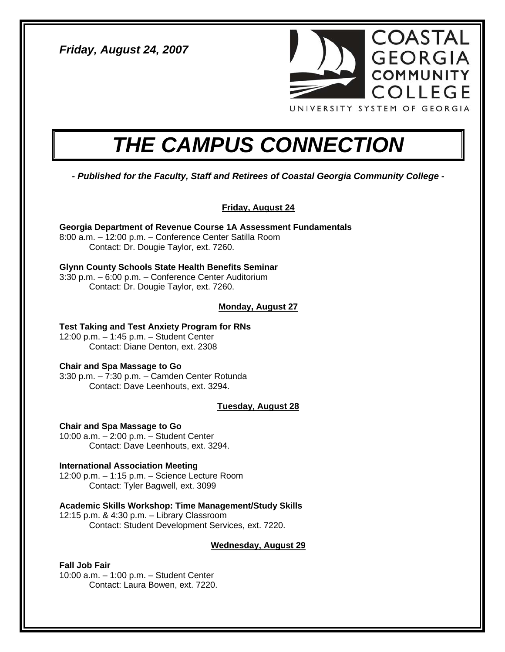*Friday, August 24, 2007* 



# *THE CAMPUS CONNECTION*

*- Published for the Faculty, Staff and Retirees of Coastal Georgia Community College -* 

**Friday, August 24**

**Georgia Department of Revenue Course 1A Assessment Fundamentals**  8:00 a.m. – 12:00 p.m. – Conference Center Satilla Room Contact: Dr. Dougie Taylor, ext. 7260.

**Glynn County Schools State Health Benefits Seminar**  3:30 p.m. – 6:00 p.m. – Conference Center Auditorium Contact: Dr. Dougie Taylor, ext. 7260.

# **Monday, August 27**

**Test Taking and Test Anxiety Program for RNs**  12:00 p.m. – 1:45 p.m. – Student Center Contact: Diane Denton, ext. 2308

# **Chair and Spa Massage to Go**

3:30 p.m. – 7:30 p.m. – Camden Center Rotunda Contact: Dave Leenhouts, ext. 3294.

## **Tuesday, August 28**

**Chair and Spa Massage to Go**  10:00 a.m. – 2:00 p.m. – Student Center Contact: Dave Leenhouts, ext. 3294.

**International Association Meeting**  12:00 p.m. – 1:15 p.m. – Science Lecture Room Contact: Tyler Bagwell, ext. 3099

**Academic Skills Workshop: Time Management/Study Skills**  12:15 p.m. & 4:30 p.m. – Library Classroom Contact: Student Development Services, ext. 7220.

## **Wednesday, August 29**

**Fall Job Fair**  10:00 a.m. – 1:00 p.m. – Student Center Contact: Laura Bowen, ext. 7220.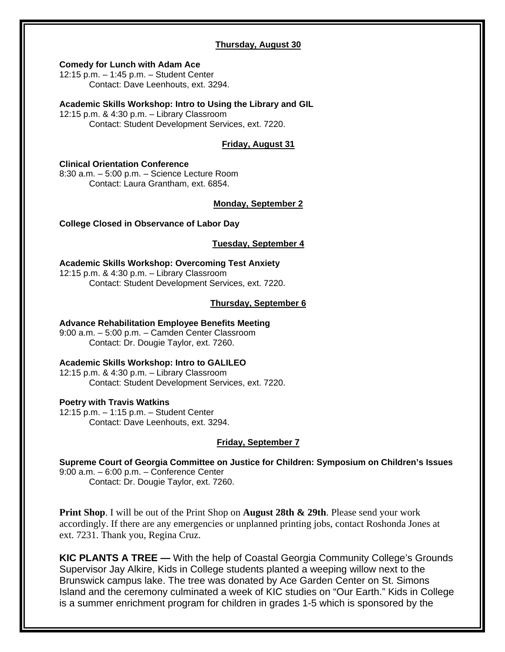#### **Thursday, August 30**

#### **Comedy for Lunch with Adam Ace**

12:15 p.m. – 1:45 p.m. – Student Center Contact: Dave Leenhouts, ext. 3294.

#### **Academic Skills Workshop: Intro to Using the Library and GIL**

12:15 p.m. & 4:30 p.m. – Library Classroom Contact: Student Development Services, ext. 7220.

### **Friday, August 31**

## **Clinical Orientation Conference**

8:30 a.m. – 5:00 p.m. – Science Lecture Room Contact: Laura Grantham, ext. 6854.

#### **Monday, September 2**

**College Closed in Observance of Labor Day** 

#### **Tuesday, September 4**

**Academic Skills Workshop: Overcoming Test Anxiety**  12:15 p.m. & 4:30 p.m. – Library Classroom Contact: Student Development Services, ext. 7220.

# **Thursday, September 6**

#### **Advance Rehabilitation Employee Benefits Meeting**

9:00 a.m. – 5:00 p.m. – Camden Center Classroom Contact: Dr. Dougie Taylor, ext. 7260.

#### **Academic Skills Workshop: Intro to GALILEO**

12:15 p.m. & 4:30 p.m. – Library Classroom Contact: Student Development Services, ext. 7220.

#### **Poetry with Travis Watkins**

12:15 p.m. – 1:15 p.m. – Student Center Contact: Dave Leenhouts, ext. 3294.

#### **Friday, September 7**

**Supreme Court of Georgia Committee on Justice for Children: Symposium on Children's Issues**  9:00 a.m. – 6:00 p.m. – Conference Center Contact: Dr. Dougie Taylor, ext. 7260.

**Print Shop**. I will be out of the Print Shop on **August 28th & 29th**. Please send your work accordingly. If there are any emergencies or unplanned printing jobs, contact Roshonda Jones at ext. 7231. Thank you, Regina Cruz.

**KIC PLANTS A TREE —** With the help of Coastal Georgia Community College's Grounds Supervisor Jay Alkire, Kids in College students planted a weeping willow next to the Brunswick campus lake. The tree was donated by Ace Garden Center on St. Simons Island and the ceremony culminated a week of KIC studies on "Our Earth." Kids in College is a summer enrichment program for children in grades 1-5 which is sponsored by the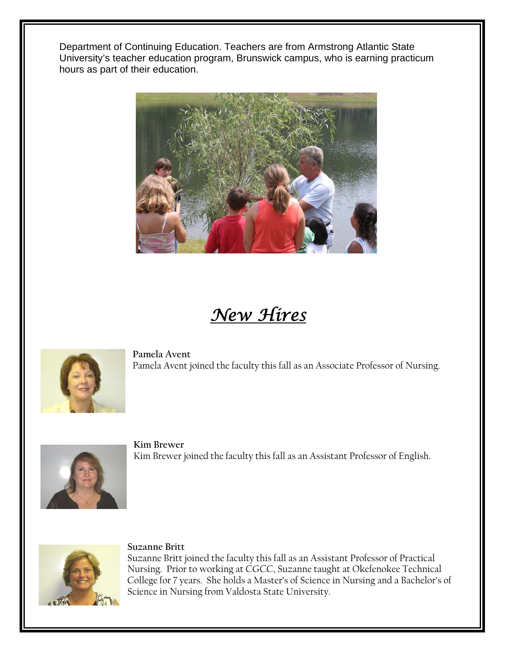Department of Continuing Education. Teachers are from Armstrong Atlantic State University's teacher education program, Brunswick campus, who is earning practicum hours as part of their education.



# *New Hires*



**Pamela Avent**  Pamela Avent joined the faculty this fall as an Associate Professor of Nursing.



**Kim Brewer**  Kim Brewer joined the faculty this fall as an Assistant Professor of English.



# **Suzanne Britt**

Suzanne Britt joined the faculty this fall as an Assistant Professor of Practical Nursing. Prior to working at CGCC, Suzanne taught at Okefenokee Technical College for 7 years. She holds a Master's of Science in Nursing and a Bachelor's of Science in Nursing from Valdosta State University.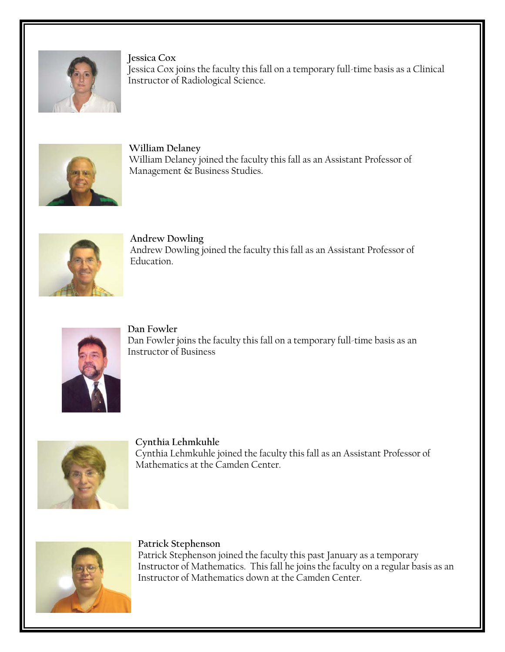

**Jessica Cox**  Jessica Cox joins the faculty this fall on a temporary full-time basis as a Clinical Instructor of Radiological Science.



**William Delaney**  William Delaney joined the faculty this fall as an Assistant Professor of Management & Business Studies.



**Andrew Dowling**  Andrew Dowling joined the faculty this fall as an Assistant Professor of Education.



**Dan Fowler**  Dan Fowler joins the faculty this fall on a temporary full-time basis as an Instructor of Business



**Cynthia Lehmkuhle**  Cynthia Lehmkuhle joined the faculty this fall as an Assistant Professor of Mathematics at the Camden Center.



**Patrick Stephenson** 

Patrick Stephenson joined the faculty this past January as a temporary Instructor of Mathematics. This fall he joins the faculty on a regular basis as an Instructor of Mathematics down at the Camden Center.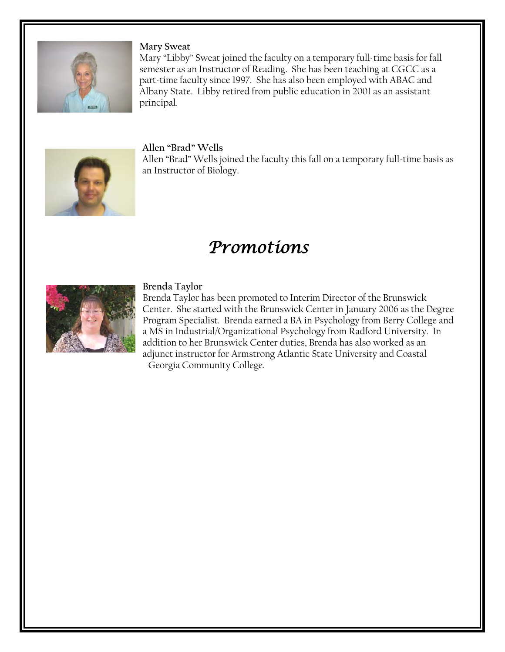

# **Mary Sweat**

Mary "Libby" Sweat joined the faculty on a temporary full-time basis for fall semester as an Instructor of Reading. She has been teaching at CGCC as a part-time faculty since 1997. She has also been employed with ABAC and Albany State. Libby retired from public education in 2001 as an assistant principal.



# **Allen "Brad" Wells**

Allen "Brad" Wells joined the faculty this fall on a temporary full-time basis as an Instructor of Biology.

# *Promotions*



# **Brenda Taylor**

Brenda Taylor has been promoted to Interim Director of the Brunswick Center. She started with the Brunswick Center in January 2006 as the Degree Program Specialist. Brenda earned a BA in Psychology from Berry College and a MS in Industrial/Organizational Psychology from Radford University. In addition to her Brunswick Center duties, Brenda has also worked as an adjunct instructor for Armstrong Atlantic State University and Coastal Georgia Community College.